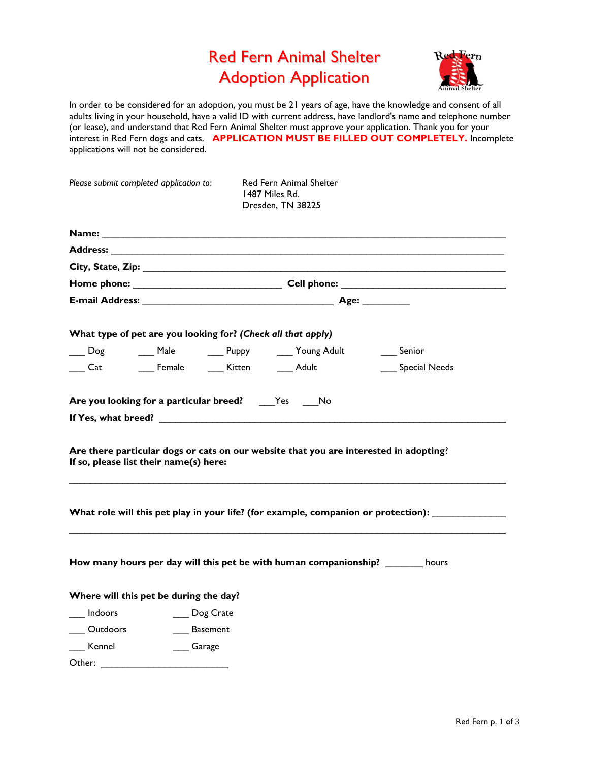## Red Fern Animal Shelter Adoption Application



In order to be considered for an adoption, you must be 21 years of age, have the knowledge and consent of all adults living in your household, have a valid ID with current address, have landlord's name and telephone number (or lease), and understand that Red Fern Animal Shelter must approve your application. Thank you for your interest in Red Fern dogs and cats. **APPLICATION MUST BE FILLED OUT COMPLETELY.** Incomplete applications will not be considered.

| Please submit completed application to:                                                                                                                                                                                        |                               | Red Fern Animal Shelter<br>1487 Miles Rd.<br>Dresden, TN 38225                        |                                                                                    |  |
|--------------------------------------------------------------------------------------------------------------------------------------------------------------------------------------------------------------------------------|-------------------------------|---------------------------------------------------------------------------------------|------------------------------------------------------------------------------------|--|
|                                                                                                                                                                                                                                |                               |                                                                                       |                                                                                    |  |
|                                                                                                                                                                                                                                |                               |                                                                                       |                                                                                    |  |
|                                                                                                                                                                                                                                |                               |                                                                                       |                                                                                    |  |
|                                                                                                                                                                                                                                |                               |                                                                                       |                                                                                    |  |
|                                                                                                                                                                                                                                |                               |                                                                                       |                                                                                    |  |
| What type of pet are you looking for? (Check all that apply)                                                                                                                                                                   |                               |                                                                                       |                                                                                    |  |
|                                                                                                                                                                                                                                |                               | Land Dog and Male and Puppy and Young Adult and Senior                                |                                                                                    |  |
|                                                                                                                                                                                                                                |                               |                                                                                       | Special Needs                                                                      |  |
| If so, please list their name(s) here:                                                                                                                                                                                         |                               | Are there particular dogs or cats on our website that you are interested in adopting? |                                                                                    |  |
|                                                                                                                                                                                                                                |                               |                                                                                       | What role will this pet play in your life? (for example, companion or protection): |  |
|                                                                                                                                                                                                                                |                               | How many hours per day will this pet be with human companionship? _______ hours       |                                                                                    |  |
| Where will this pet be during the day?                                                                                                                                                                                         |                               |                                                                                       |                                                                                    |  |
| <b>Indoors</b>                                                                                                                                                                                                                 | ___ Dog Crate                 |                                                                                       |                                                                                    |  |
|                                                                                                                                                                                                                                | ____ Outdoors ______ Basement |                                                                                       |                                                                                    |  |
| ___ Kennel                                                                                                                                                                                                                     | Garage                        |                                                                                       |                                                                                    |  |
| Other: and the contract of the contract of the contract of the contract of the contract of the contract of the contract of the contract of the contract of the contract of the contract of the contract of the contract of the |                               |                                                                                       |                                                                                    |  |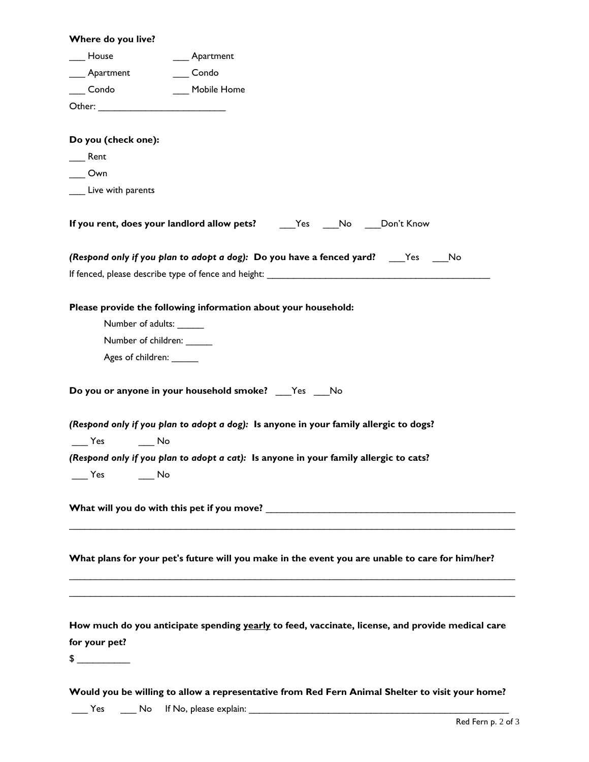| Where do you live?       |                                                                                                                |
|--------------------------|----------------------------------------------------------------------------------------------------------------|
| House                    | ___ Apartment                                                                                                  |
| ____ Apartment           | Condo                                                                                                          |
| Condo Mobile Home        |                                                                                                                |
|                          |                                                                                                                |
|                          |                                                                                                                |
| Do you (check one):      |                                                                                                                |
| Rent                     |                                                                                                                |
| Own                      |                                                                                                                |
| Live with parents        |                                                                                                                |
|                          |                                                                                                                |
|                          | (Respond only if you plan to adopt a dog): Do you have a fenced yard? _____Yes _____No                         |
|                          |                                                                                                                |
|                          | Please provide the following information about your household:                                                 |
| Number of adults: ______ |                                                                                                                |
| Number of children:      |                                                                                                                |
| Ages of children: ______ |                                                                                                                |
|                          |                                                                                                                |
|                          | Do you or anyone in your household smoke? ___ Yes ___ No                                                       |
|                          | (Respond only if you plan to adopt a dog): Is anyone in your family allergic to dogs?                          |
| Yes<br>in the No         |                                                                                                                |
|                          | (Respond only if you plan to adopt a cat): Is anyone in your family allergic to cats?                          |
| ____ Yes _____ No        |                                                                                                                |
|                          |                                                                                                                |
|                          | What will you do with this pet if you move? Notice the control of the control of the control of the control of |
|                          |                                                                                                                |
|                          | What plans for your pet's future will you make in the event you are unable to care for him/her?                |
|                          |                                                                                                                |
|                          |                                                                                                                |
|                          | How much do you anticipate spending yearly to feed, vaccinate, license, and provide medical care               |
| for your pet?            |                                                                                                                |
| $\frac{1}{2}$            |                                                                                                                |
|                          |                                                                                                                |
|                          | Would you be willing to allow a representative from Red Fern Animal Shelter to visit your home?                |
|                          |                                                                                                                |